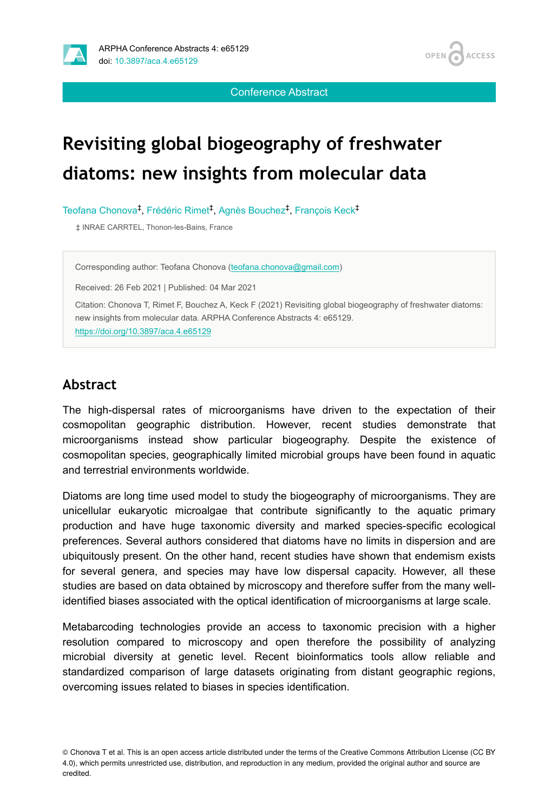

OPEN / **ACCESS** 

Conference Abstract

# **Revisiting global biogeography of freshwater diatoms: new insights from molecular data**

Teofana Chonova<sup>t</sup>, Frédéric Rimet<sup>t</sup>, Agnès Bouchez<sup>†</sup>, François Keck<sup>‡</sup>

‡ INRAE CARRTEL, Thonon-les-Bains, France

Corresponding author: Teofana Chonova ([teofana.chonova@gmail.com](mailto:teofana.chonova@gmail.com))

Received: 26 Feb 2021 | Published: 04 Mar 2021

Citation: Chonova T, Rimet F, Bouchez A, Keck F (2021) Revisiting global biogeography of freshwater diatoms: new insights from molecular data. ARPHA Conference Abstracts 4: e65129. <https://doi.org/10.3897/aca.4.e65129>

## **Abstract**

The high-dispersal rates of microorganisms have driven to the expectation of their cosmopolitan geographic distribution. However, recent studies demonstrate that microorganisms instead show particular biogeography. Despite the existence of cosmopolitan species, geographically limited microbial groups have been found in aquatic and terrestrial environments worldwide.

Diatoms are long time used model to study the biogeography of microorganisms. They are unicellular eukaryotic microalgae that contribute significantly to the aquatic primary production and have huge taxonomic diversity and marked species-specific ecological preferences. Several authors considered that diatoms have no limits in dispersion and are ubiquitously present. On the other hand, recent studies have shown that endemism exists for several genera, and species may have low dispersal capacity. However, all these studies are based on data obtained by microscopy and therefore suffer from the many wellidentified biases associated with the optical identification of microorganisms at large scale.

Metabarcoding technologies provide an access to taxonomic precision with a higher resolution compared to microscopy and open therefore the possibility of analyzing microbial diversity at genetic level. Recent bioinformatics tools allow reliable and standardized comparison of large datasets originating from distant geographic regions, overcoming issues related to biases in species identification.

<sup>©</sup> Chonova T et al. This is an open access article distributed under the terms of the Creative Commons Attribution License (CC BY 4.0), which permits unrestricted use, distribution, and reproduction in any medium, provided the original author and source are credited.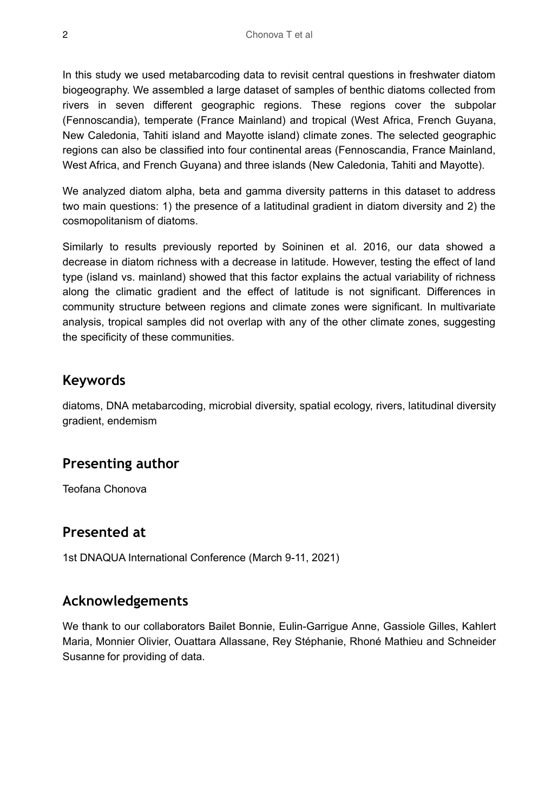In this study we used metabarcoding data to revisit central questions in freshwater diatom biogeography. We assembled a large dataset of samples of benthic diatoms collected from rivers in seven different geographic regions. These regions cover the subpolar (Fennoscandia), temperate (France Mainland) and tropical (West Africa, French Guyana, New Caledonia, Tahiti island and Mayotte island) climate zones. The selected geographic regions can also be classified into four continental areas (Fennoscandia, France Mainland, West Africa, and French Guyana) and three islands (New Caledonia, Tahiti and Mayotte).

We analyzed diatom alpha, beta and gamma diversity patterns in this dataset to address two main questions: 1) the presence of a latitudinal gradient in diatom diversity and 2) the cosmopolitanism of diatoms.

Similarly to results previously reported by Soininen et al. 2016, our data showed a decrease in diatom richness with a decrease in latitude. However, testing the effect of land type (island vs. mainland) showed that this factor explains the actual variability of richness along the climatic gradient and the effect of latitude is not significant. Differences in community structure between regions and climate zones were significant. In multivariate analysis, tropical samples did not overlap with any of the other climate zones, suggesting the specificity of these communities.

#### **Keywords**

diatoms, DNA metabarcoding, microbial diversity, spatial ecology, rivers, latitudinal diversity gradient, endemism

## **Presenting author**

Teofana Chonova

## **Presented at**

1st DNAQUA International Conference (March 9-11, 2021)

## **Acknowledgements**

We thank to our collaborators Bailet Bonnie, Eulin-Garrigue Anne, Gassiole Gilles, Kahlert Maria, Monnier Olivier, Ouattara Allassane, Rey Stéphanie, Rhoné Mathieu and Schneider Susanne for providing of data.